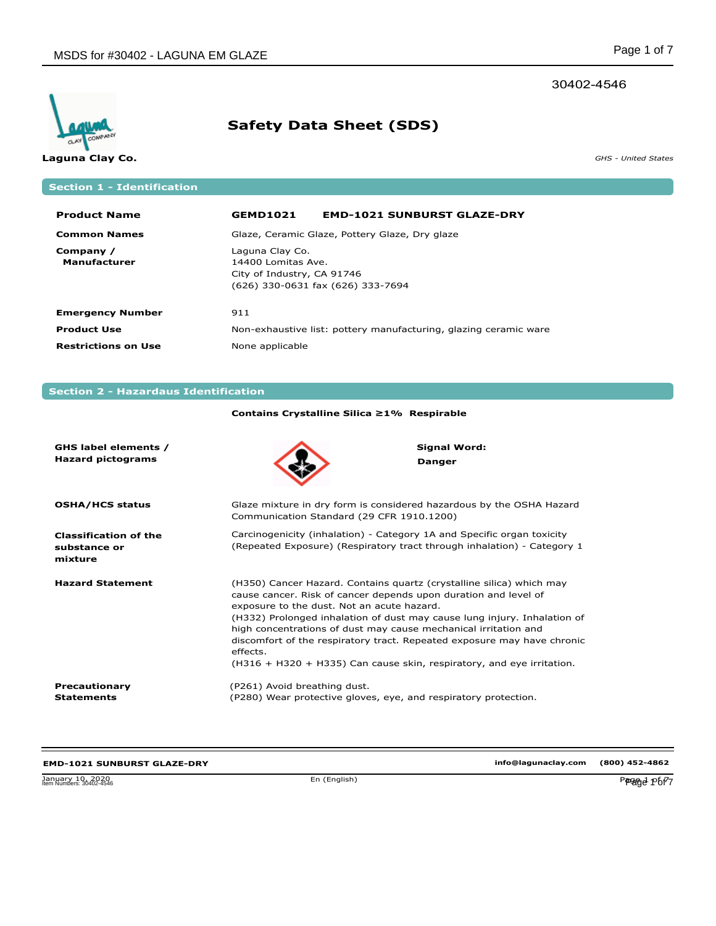# 30402-4546



# **Safety Data Sheet (SDS)**

**Laguna Clay Co.** *GHS - United States*

# **Section 1 - Identification**

| <b>Product Name</b>              | <b>GEMD1021</b>                                                     | <b>EMD-1021 SUNBURST GLAZE-DRY</b>                               |
|----------------------------------|---------------------------------------------------------------------|------------------------------------------------------------------|
| <b>Common Names</b>              |                                                                     | Glaze, Ceramic Glaze, Pottery Glaze, Dry glaze                   |
| Company /<br><b>Manufacturer</b> | Laguna Clay Co.<br>14400 Lomitas Ave.<br>City of Industry, CA 91746 | (626) 330-0631 fax (626) 333-7694                                |
| <b>Emergency Number</b>          | 911                                                                 |                                                                  |
| <b>Product Use</b>               |                                                                     | Non-exhaustive list: pottery manufacturing, glazing ceramic ware |
| <b>Restrictions on Use</b>       | None applicable                                                     |                                                                  |

# **Section 2 - Hazardaus Identification**

|                                                         | Contains Crystalline Silica ≥1% Respirable                                                                                                                                                                                                                                                                                                                                                                                                                                                           |                                      |
|---------------------------------------------------------|------------------------------------------------------------------------------------------------------------------------------------------------------------------------------------------------------------------------------------------------------------------------------------------------------------------------------------------------------------------------------------------------------------------------------------------------------------------------------------------------------|--------------------------------------|
| GHS label elements /<br><b>Hazard pictograms</b>        |                                                                                                                                                                                                                                                                                                                                                                                                                                                                                                      | <b>Signal Word:</b><br><b>Danger</b> |
| <b>OSHA/HCS status</b>                                  | Glaze mixture in dry form is considered hazardous by the OSHA Hazard<br>Communication Standard (29 CFR 1910.1200)                                                                                                                                                                                                                                                                                                                                                                                    |                                      |
| <b>Classification of the</b><br>substance or<br>mixture | Carcinogenicity (inhalation) - Category 1A and Specific organ toxicity<br>(Repeated Exposure) (Respiratory tract through inhalation) - Category 1                                                                                                                                                                                                                                                                                                                                                    |                                      |
| <b>Hazard Statement</b>                                 | (H350) Cancer Hazard. Contains quartz (crystalline silica) which may<br>cause cancer. Risk of cancer depends upon duration and level of<br>exposure to the dust. Not an acute hazard.<br>(H332) Prolonged inhalation of dust may cause lung injury. Inhalation of<br>high concentrations of dust may cause mechanical irritation and<br>discomfort of the respiratory tract. Repeated exposure may have chronic<br>effects.<br>(H316 + H320 + H335) Can cause skin, respiratory, and eye irritation. |                                      |
| Precautionary<br><b>Statements</b>                      | (P261) Avoid breathing dust.<br>(P280) Wear protective gloves, eye, and respiratory protection.                                                                                                                                                                                                                                                                                                                                                                                                      |                                      |

| <b>EMD-1021 SUNBURST GLAZE-DRY</b>           |              | info@lagunaclay.com | (800) 452-4862 |
|----------------------------------------------|--------------|---------------------|----------------|
| January 10, 2020<br>Item Numbers: 30402-4546 | En (English) |                     | Perage P6f7    |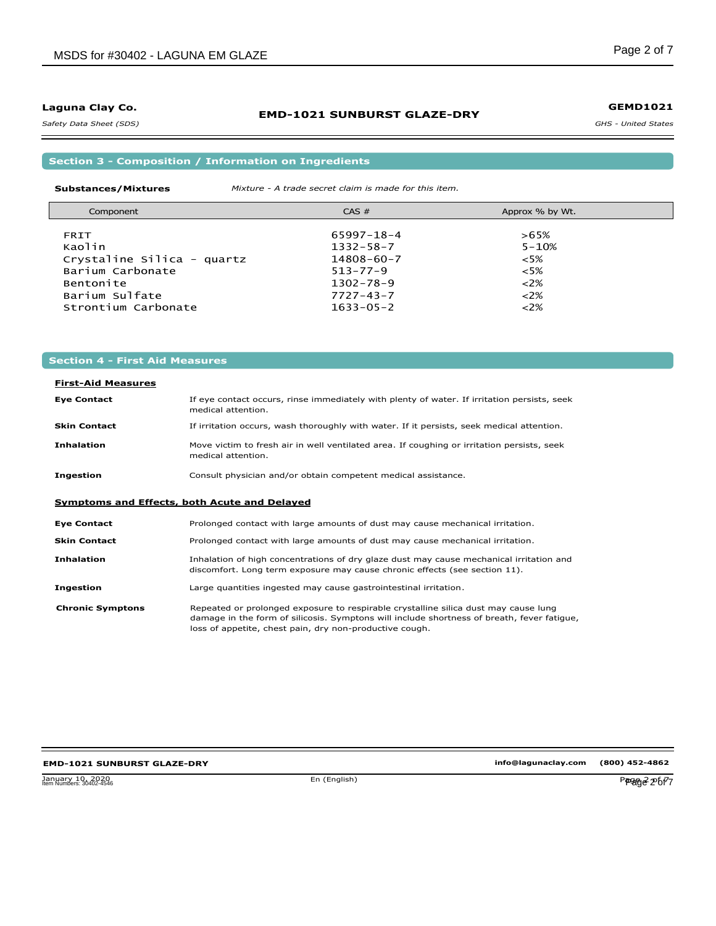*Safety Data Sheet (SDS)* 

## **EMD-1021 SUNBURST GLAZE-DRY**

*GHS - United States* **GEMD1021**

**Section 3 - Composition / Information on Ingredients**

**Substances/Mixtures** *Mixture - A trade secret claim is made for this item.*

| Component                  | CAS #            | Approx % by Wt. |  |
|----------------------------|------------------|-----------------|--|
|                            | $65997 - 18 - 4$ | $>65\%$         |  |
| <b>FRIT</b>                |                  |                 |  |
| Kaolin                     | $1332 - 58 - 7$  | $5 - 10%$       |  |
| Crystaline Silica - quartz | $14808 - 60 - 7$ | $<5\%$          |  |
| Barium Carbonate           | $513 - 77 - 9$   | $<5\%$          |  |
| Bentonite                  | $1302 - 78 - 9$  | $<2\%$          |  |
| Barium Sulfate             | $7727 - 43 - 7$  | $<2\%$          |  |
| Strontium Carbonate        | $1633 - 05 - 2$  | $<2\%$          |  |

# **Section 4 - First Aid Measures**

# **First-Aid Measures**

| <b>Eye Contact</b>  | If eye contact occurs, rinse immediately with plenty of water. If irritation persists, seek<br>medical attention. |
|---------------------|-------------------------------------------------------------------------------------------------------------------|
| <b>Skin Contact</b> | If irritation occurs, wash thoroughly with water. If it persists, seek medical attention.                         |
| <b>Inhalation</b>   | Move victim to fresh air in well ventilated area. If coughing or irritation persists, seek<br>medical attention.  |
| Ingestion           | Consult physician and/or obtain competent medical assistance.                                                     |

## **Symptoms and Effects, both Acute and Delayed**

| <b>Eye Contact</b>      | Prolonged contact with large amounts of dust may cause mechanical irritation.                                                                                                                                                                |
|-------------------------|----------------------------------------------------------------------------------------------------------------------------------------------------------------------------------------------------------------------------------------------|
| <b>Skin Contact</b>     | Prolonged contact with large amounts of dust may cause mechanical irritation.                                                                                                                                                                |
| <b>Inhalation</b>       | Inhalation of high concentrations of dry glaze dust may cause mechanical irritation and<br>discomfort. Long term exposure may cause chronic effects (see section 11).                                                                        |
| Ingestion               | Large quantities ingested may cause gastrointestinal irritation.                                                                                                                                                                             |
| <b>Chronic Symptons</b> | Repeated or prolonged exposure to respirable crystalline silica dust may cause lung<br>damage in the form of silicosis. Symptons will include shortness of breath, fever fatique,<br>loss of appetite, chest pain, dry non-productive cough. |

# **EMD-1021 SUNBURST GLAZE-DRY**

January 10, 2020<br>Item Numbers: 30402-4546 Page 2 of 7 January 10, 2020<br>Item Numbers: 30402-4546 Page 2 of 77 and 2021 12:00 and 2021 12:00 page 2 of 77 and 2021 12:00 page 2 of 77 and 2021

**info@lagunaclay.com (800) 452-4862**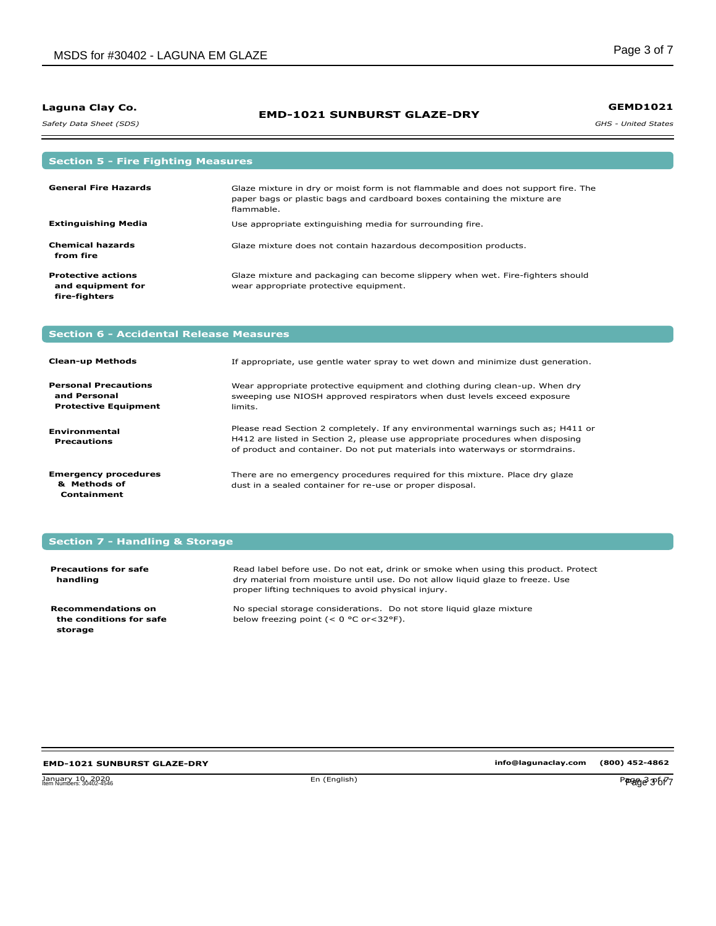*Safety Data Sheet (SDS)* 

## **EMD-1021 SUNBURST GLAZE-DRY**

*GHS - United States* **GEMD1021**

| <b>Section 5 - Fire Fighting Measures</b>                       |                                                                                                                                                                               |
|-----------------------------------------------------------------|-------------------------------------------------------------------------------------------------------------------------------------------------------------------------------|
| <b>General Fire Hazards</b>                                     | Glaze mixture in dry or moist form is not flammable and does not support fire. The<br>paper bags or plastic bags and cardboard boxes containing the mixture are<br>flammable. |
| <b>Extinguishing Media</b>                                      | Use appropriate extinguishing media for surrounding fire.                                                                                                                     |
| <b>Chemical hazards</b><br>from fire                            | Glaze mixture does not contain hazardous decomposition products.                                                                                                              |
| <b>Protective actions</b><br>and equipment for<br>fire-fighters | Glaze mixture and packaging can become slippery when wet. Fire-fighters should<br>wear appropriate protective equipment.                                                      |

# **Section 6 - Accidental Release Measures**

| <b>Clean-up Methods</b>                                                    | If appropriate, use gentle water spray to wet down and minimize dust generation.                                                                                                                                                                    |
|----------------------------------------------------------------------------|-----------------------------------------------------------------------------------------------------------------------------------------------------------------------------------------------------------------------------------------------------|
| <b>Personal Precautions</b><br>and Personal<br><b>Protective Equipment</b> | Wear appropriate protective equipment and clothing during clean-up. When dry<br>sweeping use NIOSH approved respirators when dust levels exceed exposure<br>limits.                                                                                 |
| <b>Environmental</b><br><b>Precautions</b>                                 | Please read Section 2 completely. If any environmental warnings such as; H411 or<br>H412 are listed in Section 2, please use appropriate procedures when disposing<br>of product and container. Do not put materials into waterways or stormdrains. |
| <b>Emergency procedures</b><br>& Methods of<br>Containment                 | There are no emergency procedures required for this mixture. Place dry glaze<br>dust in a sealed container for re-use or proper disposal.                                                                                                           |

# **Section 7 - Handling & Storage**

| <b>Precautions for safe</b><br>handling                         | Read label before use. Do not eat, drink or smoke when using this product. Protect<br>dry material from moisture until use. Do not allow liquid glaze to freeze. Use<br>proper lifting techniques to avoid physical injury. |
|-----------------------------------------------------------------|-----------------------------------------------------------------------------------------------------------------------------------------------------------------------------------------------------------------------------|
| <b>Recommendations on</b><br>the conditions for safe<br>storage | No special storage considerations. Do not store liquid glaze mixture<br>below freezing point $(< 0$ °C or $< 32$ °F).                                                                                                       |

#### **EMD-1021 SUNBURST GLAZE-DRY**

January 10, 2020 En (English) Page 3 of 7 Item Numbers: 30402-4546 Page 3 of 7

**info@lagunaclay.com (800) 452-4862**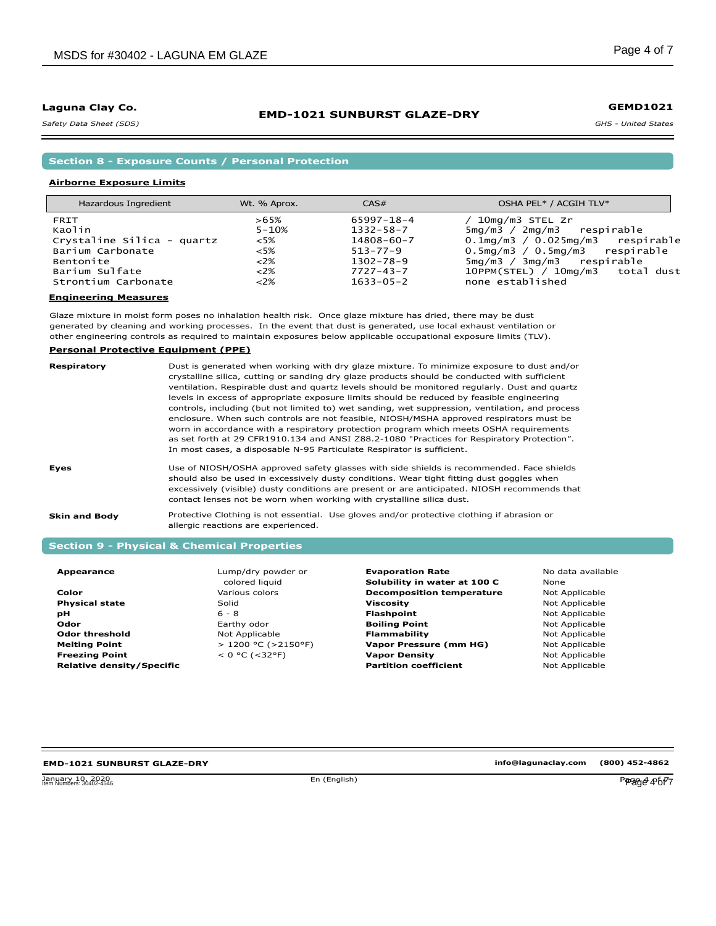*Safety Data Sheet (SDS)* 

# **Section 8 - Exposure Counts / Personal Protection**

#### **Airborne Exposure Limits**

| Hazardous Ingredient       | Wt. % Aprox. | CAS#            | OSHA PEL* / ACGIH TLV*                 |
|----------------------------|--------------|-----------------|----------------------------------------|
| FRIT                       | $>65\%$      | 65997-18-4      | 10mg/m3 STEL Zr                        |
| Kaolin                     | $5 - 10%$    | $1332 - 58 - 7$ | 5mg/m3 / 2mg/m3 respirable             |
| Crystaline Silica - quartz | $<5\%$       | 14808-60-7      | $0.1$ mg/m3 / 0.025mg/m3 respirable    |
| Barium Carbonate           | $~5\%$       | $513 - 77 - 9$  | $0.5$ mg/m $3/0.5$ mg/m $3$ respirable |
| Bentonite                  | $<2\%$       | $1302 - 78 - 9$ | 5mg/m3 / 3mg/m3 respirable             |
| Barium Sulfate             | ${<}2\%$     | $7727 - 43 - 7$ | 10PPM(STEL) / 10mg/m3 total dust       |
| Strontium Carbonate        | ${<}2\%$     | $1633 - 05 - 2$ | none established                       |

**EMD-1021 SUNBURST GLAZE-DRY**

#### **Engineering Measures**

Glaze mixture in moist form poses no inhalation health risk. Once glaze mixture has dried, there may be dust generated by cleaning and working processes. In the event that dust is generated, use local exhaust ventilation or other engineering controls as required to maintain exposures below applicable occupational exposure limits (TLV).

#### **Personal Protective Equipment (PPE)**

| Respiratory          | Dust is generated when working with dry glaze mixture. To minimize exposure to dust and/or<br>crystalline silica, cutting or sanding dry glaze products should be conducted with sufficient<br>ventilation. Respirable dust and quartz levels should be monitored regularly. Dust and quartz<br>levels in excess of appropriate exposure limits should be reduced by feasible engineering<br>controls, including (but not limited to) wet sanding, wet suppression, ventilation, and process<br>enclosure. When such controls are not feasible, NIOSH/MSHA approved respirators must be<br>worn in accordance with a respiratory protection program which meets OSHA requirements<br>as set forth at 29 CFR1910.134 and ANSI Z88.2-1080 "Practices for Respiratory Protection".<br>In most cases, a disposable N-95 Particulate Respirator is sufficient. |
|----------------------|-----------------------------------------------------------------------------------------------------------------------------------------------------------------------------------------------------------------------------------------------------------------------------------------------------------------------------------------------------------------------------------------------------------------------------------------------------------------------------------------------------------------------------------------------------------------------------------------------------------------------------------------------------------------------------------------------------------------------------------------------------------------------------------------------------------------------------------------------------------|
| Eyes                 | Use of NIOSH/OSHA approved safety glasses with side shields is recommended. Face shields<br>should also be used in excessively dusty conditions. Wear tight fitting dust goggles when<br>excessively (visible) dusty conditions are present or are anticipated. NIOSH recommends that<br>contact lenses not be worn when working with crystalline silica dust.                                                                                                                                                                                                                                                                                                                                                                                                                                                                                            |
| <b>Skin and Body</b> | Protective Clothing is not essential. Use gloves and/or protective clothing if abrasion or<br>allergic reactions are experienced.                                                                                                                                                                                                                                                                                                                                                                                                                                                                                                                                                                                                                                                                                                                         |

## **Section 9 - Physical & Chemical Properties**

| Appearance |
|------------|
|------------|

**Color Physical state pH Odor Odor threshold Melting Point Freezing Point Relative density/Specific** Lump/dry powder or colored liquid Various colors Solid 6 - 8 Earthy odor Not Applicable > 1200 °C (>2150°F)  $< 0 °C$  (<32°F)

**Evaporation Rate Solubility in water at 100 C Decomposition temperature Viscosity Flashpoint Boiling Point Flammability Vapor Pressure (mm HG) Vapor Density Partition coefficient**

No data available None Not Applicable Not Applicable Not Applicable Not Applicable Not Applicable Not Applicable Not Applicable Not Applicable

# **EMD-1021 SUNBURST GLAZE-DRY**

January 10, 2020<br>Item Numbers: 30402-4546 Page 4 of 7 and 10 and 10 and 10 and 10 and 10 and 10 and 10 and 10 and 10 and 10 and 1

**info@lagunaclay.com (800) 452-4862**

**GEMD1021**

*GHS - United States*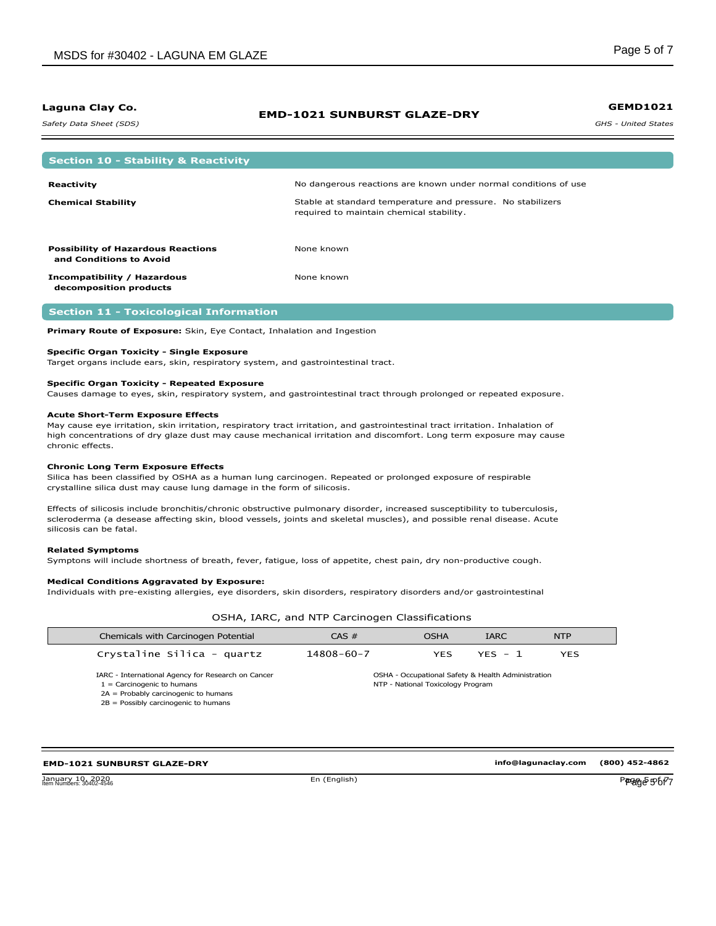*Safety Data Sheet (SDS)* 

## **EMD-1021 SUNBURST GLAZE-DRY**

*GHS - United States* **GEMD1021**

| <b>Section 10 - Stability &amp; Reactivity</b>                       |                                                                                                         |
|----------------------------------------------------------------------|---------------------------------------------------------------------------------------------------------|
| Reactivity                                                           | No dangerous reactions are known under normal conditions of use                                         |
| <b>Chemical Stability</b>                                            | Stable at standard temperature and pressure. No stabilizers<br>required to maintain chemical stability. |
|                                                                      | None known                                                                                              |
| <b>Possibility of Hazardous Reactions</b><br>and Conditions to Avoid |                                                                                                         |
| Incompatibility / Hazardous<br>decomposition products                | None known                                                                                              |

#### **Section 11 - Toxicological Information**

**Primary Route of Exposure:** Skin, Eye Contact, Inhalation and Ingestion

#### **Specific Organ Toxicity - Single Exposure**

Target organs include ears, skin, respiratory system, and gastrointestinal tract.

#### **Specific Organ Toxicity - Repeated Exposure**

Causes damage to eyes, skin, respiratory system, and gastrointestinal tract through prolonged or repeated exposure.

#### **Acute Short-Term Exposure Effects**

May cause eye irritation, skin irritation, respiratory tract irritation, and gastrointestinal tract irritation. Inhalation of high concentrations of dry glaze dust may cause mechanical irritation and discomfort. Long term exposure may cause chronic effects.

#### **Chronic Long Term Exposure Effects**

Silica has been classified by OSHA as a human lung carcinogen. Repeated or prolonged exposure of respirable crystalline silica dust may cause lung damage in the form of silicosis.

Effects of silicosis include bronchitis/chronic obstructive pulmonary disorder, increased susceptibility to tuberculosis, scleroderma (a desease affecting skin, blood vessels, joints and skeletal muscles), and possible renal disease. Acute silicosis can be fatal.

#### **Related Symptoms**

Symptons will include shortness of breath, fever, fatigue, loss of appetite, chest pain, dry non-productive cough.

#### **Medical Conditions Aggravated by Exposure:**

Individuals with pre-existing allergies, eye disorders, skin disorders, respiratory disorders and/or gastrointestinal

OSHA, IARC, and NTP Carcinogen Classifications

| Chemicals with Carcinogen Potential                                    | CAS #            | <b>OSHA</b>                       | <b>IARC</b>                                        | <b>NTP</b> |
|------------------------------------------------------------------------|------------------|-----------------------------------|----------------------------------------------------|------------|
| Crystaline Silica - quartz                                             | $14808 - 60 - 7$ | YES                               | $YFS - 1$                                          | <b>YES</b> |
| IARC - International Agency for Research on Cancer                     |                  |                                   | OSHA - Occupational Safety & Health Administration |            |
| $1 =$ Carcinogenic to humans<br>$2A =$ Probably carcinogenic to humans |                  | NTP - National Toxicology Program |                                                    |            |
| $2B =$ Possibly carcinogenic to humans                                 |                  |                                   |                                                    |            |

#### **EMD-1021 SUNBURST GLAZE-DRY**

January 10, 2020<br>Jianuary 10, 2020<br>Jian Numbers: 30402-4546 January 10, 2020<br>Item Numbers: 30402-4546 Page 5 of 7 of 2020 Page 5 of 7 of 2021 Page 5 of 7 of 8 of 7 of 8 of 7 of 8 of 7 of 8 of 7 of 8 of 7 of 8 of 7 of 8 of 7 of 8 of 7 of 8 of 7 of 8 of 7 of 8 of 7 of 8 of 7 of 8 of

**info@lagunaclay.com (800) 452-4862**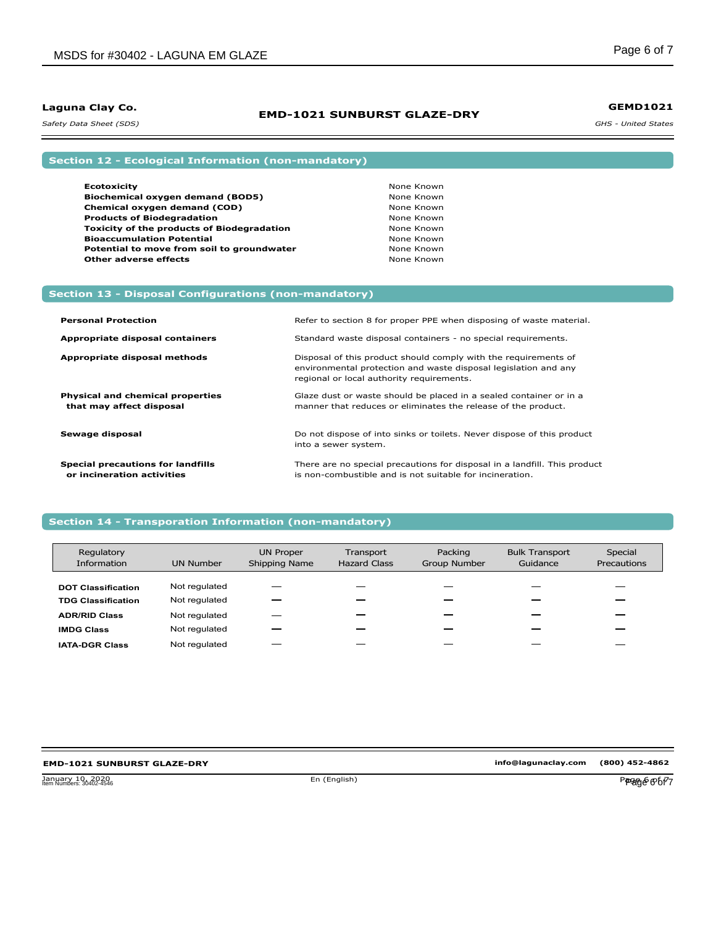## **EMD-1021 SUNBURST GLAZE-DRY**

*GHS - United States* **GEMD1021**

*Safety Data Sheet (SDS)* 

# **Section 12 - Ecological Information (non-mandatory)**

**Section 13 - Disposal Configurations (non-mandatory)**

| <b>Ecotoxicity</b>                                | None Known |
|---------------------------------------------------|------------|
| Biochemical oxygen demand (BOD5)                  | None Known |
| Chemical oxygen demand (COD)                      | None Known |
| <b>Products of Biodegradation</b>                 | None Known |
| <b>Toxicity of the products of Biodegradation</b> | None Known |
| <b>Bioaccumulation Potential</b>                  | None Known |
| Potential to move from soil to groundwater        | None Known |
| <b>Other adverse effects</b>                      | None Known |

| <b>Personal Protection</b>                                             | Refer to section 8 for proper PPE when disposing of waste material.                                                                                                             |
|------------------------------------------------------------------------|---------------------------------------------------------------------------------------------------------------------------------------------------------------------------------|
| Appropriate disposal containers                                        | Standard waste disposal containers - no special requirements.                                                                                                                   |
| Appropriate disposal methods                                           | Disposal of this product should comply with the requirements of<br>environmental protection and waste disposal legislation and any<br>regional or local authority requirements. |
| <b>Physical and chemical properties</b><br>that may affect disposal    | Glaze dust or waste should be placed in a sealed container or in a<br>manner that reduces or eliminates the release of the product.                                             |
| Sewage disposal                                                        | Do not dispose of into sinks or toilets. Never dispose of this product<br>into a sewer system.                                                                                  |
| <b>Special precautions for landfills</b><br>or incineration activities | There are no special precautions for disposal in a landfill. This product<br>is non-combustible and is not suitable for incineration.                                           |

## **Section 14 - Transporation Information (non-mandatory)**

| Regulatory<br>Information | <b>UN Number</b> | <b>UN Proper</b><br>Shipping Name | Transport<br><b>Hazard Class</b> | Packing<br><b>Group Number</b> | <b>Bulk Transport</b><br>Guidance | Special<br>Precautions |
|---------------------------|------------------|-----------------------------------|----------------------------------|--------------------------------|-----------------------------------|------------------------|
| <b>DOT Classification</b> | Not regulated    |                                   |                                  |                                |                                   |                        |
| <b>TDG Classification</b> | Not regulated    |                                   |                                  |                                |                                   |                        |
| <b>ADR/RID Class</b>      | Not regulated    |                                   |                                  |                                |                                   |                        |
| <b>IMDG Class</b>         | Not regulated    |                                   |                                  |                                |                                   |                        |
| <b>IATA-DGR Class</b>     | Not regulated    |                                   |                                  |                                |                                   |                        |

#### **EMD-1021 SUNBURST GLAZE-DRY**

**info@lagunaclay.com (800) 452-4862**

January 10, 2020<br>Item Numbers: 30402-4546 **Page 6 of 7** and 7 and 7 and 7 and 7 and 7 and 7 and 7 and 7 and 7 and 7 and 7 and 7 and 7 and 7 and 7 and 7 and 7 and 7 and 7 and 7 and 7 and 7 and 7 and 7 and 7 and 7 and 7 and January 10, 2020<br>Item Numbers: 30402-4546 Page 6 Of 77 - 2020 Page 7 of 2021 Page 7 of 2021 Page 7 of 72 of 72 of 72 of 72 of 7